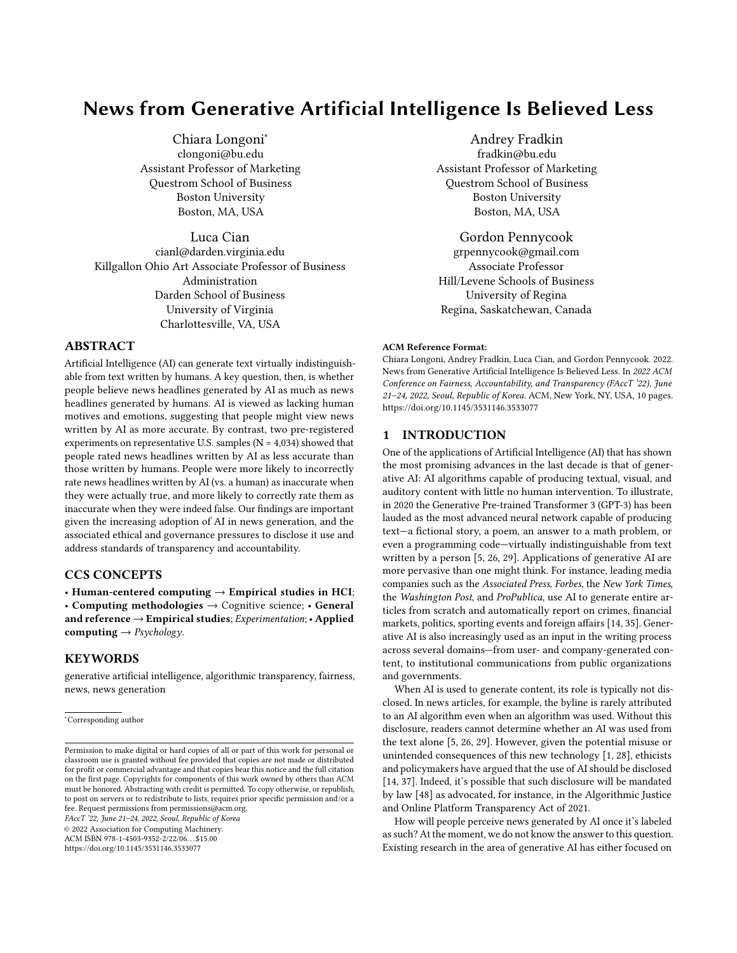# News from Generative Artificial Intelligence Is Believed Less

Chiara Longoni<sup>∗</sup> clongoni@bu.edu Assistant Professor of Marketing Questrom School of Business Boston University Boston, MA, USA

Luca Cian cianl@darden.virginia.edu Killgallon Ohio Art Associate Professor of Business Administration Darden School of Business University of Virginia Charlottesville, VA, USA

## ABSTRACT

Artificial Intelligence (AI) can generate text virtually indistinguishable from text written by humans. A key question, then, is whether people believe news headlines generated by AI as much as news headlines generated by humans. AI is viewed as lacking human motives and emotions, suggesting that people might view news written by AI as more accurate. By contrast, two pre-registered experiments on representative U.S. samples ( $N = 4,034$ ) showed that people rated news headlines written by AI as less accurate than those written by humans. People were more likely to incorrectly rate news headlines written by AI (vs. a human) as inaccurate when they were actually true, and more likely to correctly rate them as inaccurate when they were indeed false. Our findings are important given the increasing adoption of AI in news generation, and the associated ethical and governance pressures to disclose it use and address standards of transparency and accountability.

# CCS CONCEPTS

• Human-centered computing  $\rightarrow$  Empirical studies in HCI; • Computing methodologies  $\rightarrow$  Cognitive science; • General and reference  $\rightarrow$  Empirical studies; Experimentation; • Applied computing  $\rightarrow$  Psychology.

### KEYWORDS

generative artificial intelligence, algorithmic transparency, fairness, news, news generation

<sup>∗</sup>Corresponding author

FAccT '22, June 21–24, 2022, Seoul, Republic of Korea

© 2022 Association for Computing Machinery.

ACM ISBN 978-1-4503-9352-2/22/06. . . \$15.00

<https://doi.org/10.1145/3531146.3533077>

Andrey Fradkin fradkin@bu.edu Assistant Professor of Marketing Questrom School of Business Boston University Boston, MA, USA

Gordon Pennycook grpennycook@gmail.com Associate Professor Hill/Levene Schools of Business University of Regina Regina, Saskatchewan, Canada

#### ACM Reference Format:

Chiara Longoni, Andrey Fradkin, Luca Cian, and Gordon Pennycook. 2022. News from Generative Artificial Intelligence Is Believed Less. In 2022 ACM Conference on Fairness, Accountability, and Transparency (FAccT '22), June 21–24, 2022, Seoul, Republic of Korea. ACM, New York, NY, USA, [10](#page-9-0) pages. <https://doi.org/10.1145/3531146.3533077>

## 1 INTRODUCTION

One of the applications of Artificial Intelligence (AI) that has shown the most promising advances in the last decade is that of generative AI: AI algorithms capable of producing textual, visual, and auditory content with little no human intervention. To illustrate, in 2020 the Generative Pre-trained Transformer 3 (GPT-3) has been lauded as the most advanced neural network capable of producing text—a fictional story, a poem, an answer to a math problem, or even a programming code—virtually indistinguishable from text written by a person [\[5,](#page-6-0) [26,](#page-6-1) [29\]](#page-6-2). Applications of generative AI are more pervasive than one might think. For instance, leading media companies such as the Associated Press, Forbes, the New York Times, the Washington Post, and ProPublica, use AI to generate entire articles from scratch and automatically report on crimes, financial markets, politics, sporting events and foreign affairs [\[14,](#page-6-3) [35\]](#page-6-4). Generative AI is also increasingly used as an input in the writing process across several domains—from user- and company-generated content, to institutional communications from public organizations and governments.

When AI is used to generate content, its role is typically not disclosed. In news articles, for example, the byline is rarely attributed to an AI algorithm even when an algorithm was used. Without this disclosure, readers cannot determine whether an AI was used from the text alone [\[5,](#page-6-0) [26,](#page-6-1) [29\]](#page-6-2). However, given the potential misuse or unintended consequences of this new technology [\[1,](#page-6-5) [28\]](#page-6-6), ethicists and policymakers have argued that the use of AI should be disclosed [\[14,](#page-6-3) [37\]](#page-6-7). Indeed, it's possible that such disclosure will be mandated by law [\[48\]](#page-7-0) as advocated, for instance, in the [Algorithmic Justice](https://www.markey.senate.gov/imo/media/doc/ajopta.pdf) [and Online Platform Transparency Act of 2021.](https://www.markey.senate.gov/imo/media/doc/ajopta.pdf)

How will people perceive news generated by AI once it's labeled as such? At the moment, we do not know the answer to this question. Existing research in the area of generative AI has either focused on

Permission to make digital or hard copies of all or part of this work for personal or classroom use is granted without fee provided that copies are not made or distributed for profit or commercial advantage and that copies bear this notice and the full citation on the first page. Copyrights for components of this work owned by others than ACM must be honored. Abstracting with credit is permitted. To copy otherwise, or republish, to post on servers or to redistribute to lists, requires prior specific permission and/or a fee. Request permissions from permissions@acm.org.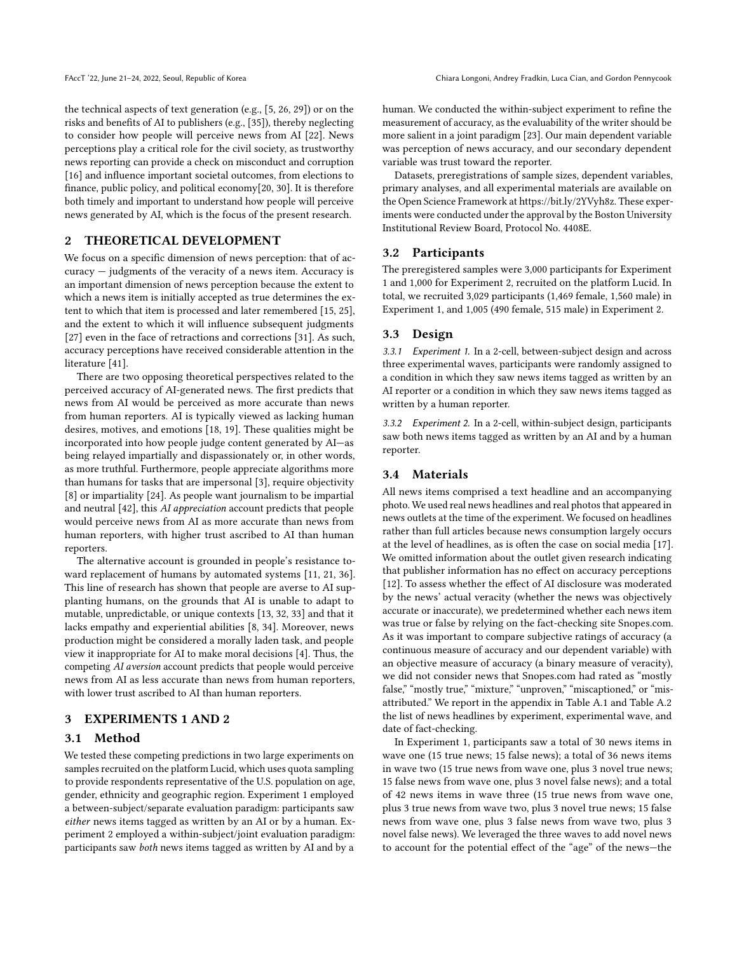the technical aspects of text generation (e.g., [\[5,](#page-6-0) [26,](#page-6-1) [29\]](#page-6-2)) or on the risks and benefits of AI to publishers (e.g., [\[35\]](#page-6-4)), thereby neglecting to consider how people will perceive news from AI [\[22\]](#page-6-8). News perceptions play a critical role for the civil society, as trustworthy news reporting can provide a check on misconduct and corruption [\[16\]](#page-6-9) and influence important societal outcomes, from elections to finance, public policy, and political economy[\[20,](#page-6-10) [30\]](#page-6-11). It is therefore both timely and important to understand how people will perceive news generated by AI, which is the focus of the present research.

## 2 THEORETICAL DEVELOPMENT

We focus on a specific dimension of news perception: that of accuracy — judgments of the veracity of a news item. Accuracy is an important dimension of news perception because the extent to which a news item is initially accepted as true determines the extent to which that item is processed and later remembered [\[15,](#page-6-12) [25\]](#page-6-13), and the extent to which it will influence subsequent judgments [\[27\]](#page-6-14) even in the face of retractions and corrections [\[31\]](#page-6-15). As such, accuracy perceptions have received considerable attention in the literature [\[41\]](#page-6-16).

There are two opposing theoretical perspectives related to the perceived accuracy of AI-generated news. The first predicts that news from AI would be perceived as more accurate than news from human reporters. AI is typically viewed as lacking human desires, motives, and emotions [\[18,](#page-6-17) [19\]](#page-6-18). These qualities might be incorporated into how people judge content generated by AI—as being relayed impartially and dispassionately or, in other words, as more truthful. Furthermore, people appreciate algorithms more than humans for tasks that are impersonal [\[3\]](#page-6-19), require objectivity [\[8\]](#page-6-20) or impartiality [\[24\]](#page-6-21). As people want journalism to be impartial and neutral [\[42\]](#page-7-1), this AI appreciation account predicts that people would perceive news from AI as more accurate than news from human reporters, with higher trust ascribed to AI than human reporters.

The alternative account is grounded in people's resistance toward replacement of humans by automated systems [\[11,](#page-6-22) [21,](#page-6-23) [36\]](#page-6-24). This line of research has shown that people are averse to AI supplanting humans, on the grounds that AI is unable to adapt to mutable, unpredictable, or unique contexts [\[13,](#page-6-25) [32,](#page-6-26) [33\]](#page-6-27) and that it lacks empathy and experiential abilities [\[8,](#page-6-20) [34\]](#page-6-28). Moreover, news production might be considered a morally laden task, and people view it inappropriate for AI to make moral decisions [\[4\]](#page-6-29). Thus, the competing AI aversion account predicts that people would perceive news from AI as less accurate than news from human reporters, with lower trust ascribed to AI than human reporters.

## 3 EXPERIMENTS 1 AND 2

#### 3.1 Method

We tested these competing predictions in two large experiments on samples recruited on the platform Lucid, which uses quota sampling to provide respondents representative of the U.S. population on age, gender, ethnicity and geographic region. Experiment 1 employed a between-subject/separate evaluation paradigm: participants saw either news items tagged as written by an AI or by a human. Experiment 2 employed a within-subject/joint evaluation paradigm: participants saw both news items tagged as written by AI and by a

human. We conducted the within-subject experiment to refine the measurement of accuracy, as the evaluability of the writer should be more salient in a joint paradigm [\[23\]](#page-6-30). Our main dependent variable was perception of news accuracy, and our secondary dependent variable was trust toward the reporter.

Datasets, preregistrations of sample sizes, dependent variables, primary analyses, and all experimental materials are available on the Open Science Framework at [https://bit.ly/2YVyh8z.](https://bit.ly/2YVyh8z) These experiments were conducted under the approval by the Boston University Institutional Review Board, Protocol No. 4408E.

#### 3.2 Participants

The preregistered samples were 3,000 participants for Experiment 1 and 1,000 for Experiment 2, recruited on the platform Lucid. In total, we recruited 3,029 participants (1,469 female, 1,560 male) in Experiment 1, and 1,005 (490 female, 515 male) in Experiment 2.

## 3.3 Design

3.3.1 Experiment 1. In a 2-cell, between-subject design and across three experimental waves, participants were randomly assigned to a condition in which they saw news items tagged as written by an AI reporter or a condition in which they saw news items tagged as written by a human reporter.

3.3.2 Experiment 2. In a 2-cell, within-subject design, participants saw both news items tagged as written by an AI and by a human reporter.

## 3.4 Materials

All news items comprised a text headline and an accompanying photo. We used real news headlines and real photos that appeared in news outlets at the time of the experiment. We focused on headlines rather than full articles because news consumption largely occurs at the level of headlines, as is often the case on social media [\[17\]](#page-6-31). We omitted information about the outlet given research indicating that publisher information has no effect on accuracy perceptions [\[12\]](#page-6-32). To assess whether the effect of AI disclosure was moderated by the news' actual veracity (whether the news was objectively accurate or inaccurate), we predetermined whether each news item was true or false by relying on the fact-checking site Snopes.com. As it was important to compare subjective ratings of accuracy (a continuous measure of accuracy and our dependent variable) with an objective measure of accuracy (a binary measure of veracity), we did not consider news that Snopes.com had rated as "mostly false," "mostly true," "mixture," "unproven," "miscaptioned," or "misattributed." We report in the appendix in Table [A.1](#page-8-0) and Table [A.2](#page-9-1) the list of news headlines by experiment, experimental wave, and date of fact-checking.

In Experiment 1, participants saw a total of 30 news items in wave one (15 true news; 15 false news); a total of 36 news items in wave two (15 true news from wave one, plus 3 novel true news; 15 false news from wave one, plus 3 novel false news); and a total of 42 news items in wave three (15 true news from wave one, plus 3 true news from wave two, plus 3 novel true news; 15 false news from wave one, plus 3 false news from wave two, plus 3 novel false news). We leveraged the three waves to add novel news to account for the potential effect of the "age" of the news—the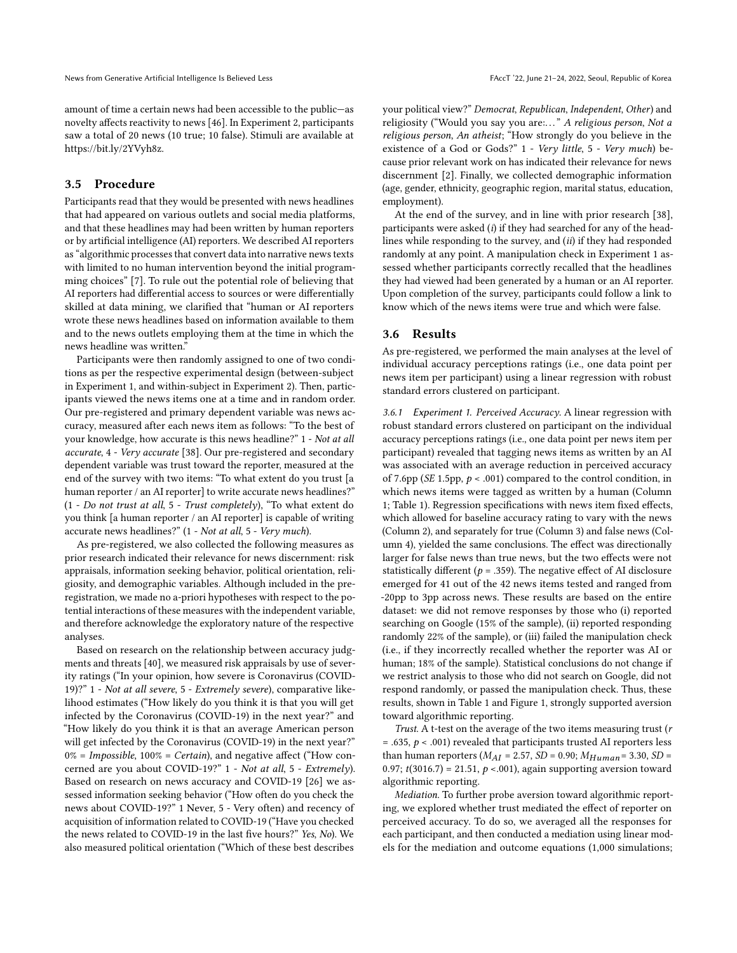amount of time a certain news had been accessible to the public—as novelty affects reactivity to news [\[46\]](#page-7-2). In Experiment 2, participants saw a total of 20 news (10 true; 10 false). Stimuli are available at [https://bit.ly/2YVyh8z.](https://bit.ly/2YVyh8z)

## 3.5 Procedure

Participants read that they would be presented with news headlines that had appeared on various outlets and social media platforms, and that these headlines may had been written by human reporters or by artificial intelligence (AI) reporters. We described AI reporters as "algorithmic processes that convert data into narrative news texts with limited to no human intervention beyond the initial programming choices" [\[7\]](#page-6-33). To rule out the potential role of believing that AI reporters had differential access to sources or were differentially skilled at data mining, we clarified that "human or AI reporters wrote these news headlines based on information available to them and to the news outlets employing them at the time in which the news headline was written."

Participants were then randomly assigned to one of two conditions as per the respective experimental design (between-subject in Experiment 1, and within-subject in Experiment 2). Then, participants viewed the news items one at a time and in random order. Our pre-registered and primary dependent variable was news accuracy, measured after each news item as follows: "To the best of your knowledge, how accurate is this news headline?" 1 - Not at all accurate, 4 - Very accurate [\[38\]](#page-6-34). Our pre-registered and secondary dependent variable was trust toward the reporter, measured at the end of the survey with two items: "To what extent do you trust [a human reporter / an AI reporter] to write accurate news headlines?"  $(1 - Do$  not trust at all, 5 - Trust completely), "To what extent do you think [a human reporter / an AI reporter] is capable of writing accurate news headlines?" (1 - Not at all, 5 - Very much).

As pre-registered, we also collected the following measures as prior research indicated their relevance for news discernment: risk appraisals, information seeking behavior, political orientation, religiosity, and demographic variables. Although included in the preregistration, we made no a-priori hypotheses with respect to the potential interactions of these measures with the independent variable, and therefore acknowledge the exploratory nature of the respective analyses.

Based on research on the relationship between accuracy judgments and threats [\[40\]](#page-6-35), we measured risk appraisals by use of severity ratings ("In your opinion, how severe is Coronavirus (COVID-19)?" 1 - Not at all severe, 5 - Extremely severe), comparative likelihood estimates ("How likely do you think it is that you will get infected by the Coronavirus (COVID-19) in the next year?" and "How likely do you think it is that an average American person will get infected by the Coronavirus (COVID-19) in the next year?"  $0\%$  = Impossible, 100% = Certain), and negative affect ("How concerned are you about COVID-19?" 1 - Not at all, 5 - Extremely). Based on research on news accuracy and COVID-19 [\[26\]](#page-6-1) we assessed information seeking behavior ("How often do you check the news about COVID-19?" 1 Never, 5 - Very often) and recency of acquisition of information related to COVID-19 ("Have you checked the news related to COVID-19 in the last five hours?" Yes, No). We also measured political orientation ("Which of these best describes

your political view?" Democrat, Republican, Independent, Other) and religiosity ("Would you say you are:..." A religious person, Not a religious person, An atheist; "How strongly do you believe in the existence of a God or Gods?" 1 - Very little, 5 - Very much) because prior relevant work on has indicated their relevance for news discernment [\[2\]](#page-6-36). Finally, we collected demographic information (age, gender, ethnicity, geographic region, marital status, education, employment).

At the end of the survey, and in line with prior research [\[38\]](#page-6-34), participants were asked  $(i)$  if they had searched for any of the headlines while responding to the survey, and (ii) if they had responded randomly at any point. A manipulation check in Experiment 1 assessed whether participants correctly recalled that the headlines they had viewed had been generated by a human or an AI reporter. Upon completion of the survey, participants could follow a link to know which of the news items were true and which were false.

#### 3.6 Results

As pre-registered, we performed the main analyses at the level of individual accuracy perceptions ratings (i.e., one data point per news item per participant) using a linear regression with robust standard errors clustered on participant.

3.6.1 Experiment 1. Perceived Accuracy. A linear regression with robust standard errors clustered on participant on the individual accuracy perceptions ratings (i.e., one data point per news item per participant) revealed that tagging news items as written by an AI was associated with an average reduction in perceived accuracy of 7.6pp (SE 1.5pp,  $p < .001$ ) compared to the control condition, in which news items were tagged as written by a human (Column 1; Table [1\)](#page-3-0). Regression specifications with news item fixed effects, which allowed for baseline accuracy rating to vary with the news (Column 2), and separately for true (Column 3) and false news (Column 4), yielded the same conclusions. The effect was directionally larger for false news than true news, but the two effects were not statistically different ( $p = .359$ ). The negative effect of AI disclosure emerged for 41 out of the 42 news items tested and ranged from -20pp to 3pp across news. These results are based on the entire dataset: we did not remove responses by those who (i) reported searching on Google (15% of the sample), (ii) reported responding randomly 22% of the sample), or (iii) failed the manipulation check (i.e., if they incorrectly recalled whether the reporter was AI or human; 18% of the sample). Statistical conclusions do not change if we restrict analysis to those who did not search on Google, did not respond randomly, or passed the manipulation check. Thus, these results, shown in Table [1](#page-3-0) and Figure [1,](#page-3-1) strongly supported aversion toward algorithmic reporting.

Trust. A t-test on the average of the two items measuring trust (r = .635,  $p$  < .001) revealed that participants trusted AI reporters less than human reporters ( $M_{AI}$  = 2.57, SD = 0.90;  $M_{Human}$  = 3.30, SD = 0.97;  $t(3016.7) = 21.51$ ,  $p < .001$ ), again supporting aversion toward algorithmic reporting.

Mediation. To further probe aversion toward algorithmic reporting, we explored whether trust mediated the effect of reporter on perceived accuracy. To do so, we averaged all the responses for each participant, and then conducted a mediation using linear models for the mediation and outcome equations (1,000 simulations;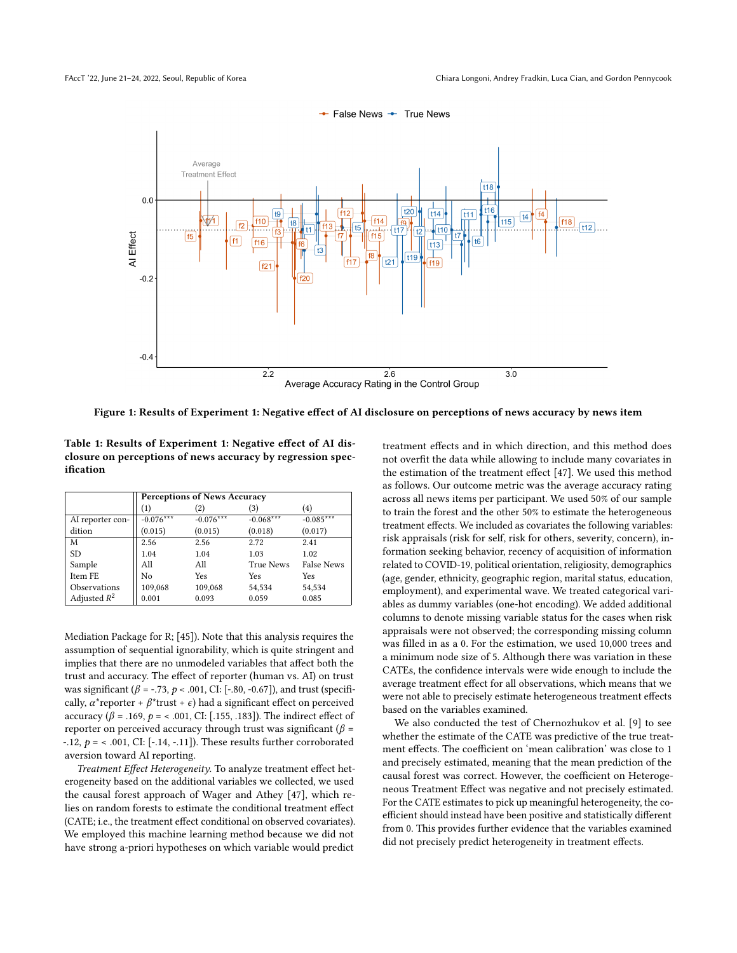<span id="page-3-1"></span>

Figure 1: Results of Experiment 1: Negative effect of AI disclosure on perceptions of news accuracy by news item

<span id="page-3-0"></span>Table 1: Results of Experiment 1: Negative effect of AI disclosure on perceptions of news accuracy by regression specification

|                  | <b>Perceptions of News Accuracy</b> |             |                  |                   |
|------------------|-------------------------------------|-------------|------------------|-------------------|
|                  | (1)                                 | (2)         | (3)              | (4)               |
| AI reporter con- | $-0.076***$                         | $-0.076***$ | $-0.068***$      | $-0.085***$       |
| dition           | (0.015)                             | (0.015)     | (0.018)          | (0.017)           |
| M                | 2.56                                | 2.56        | 2.72             | 2.41              |
| <b>SD</b>        | 1.04                                | 1.04        | 1.03             | 1.02              |
| Sample           | All                                 | All         | <b>True News</b> | <b>False News</b> |
| Item FE          | No                                  | Yes         | Yes              | Yes               |
| Observations     | 109,068                             | 109,068     | 54,534           | 54,534            |
| Adjusted $R^2$   | 0.001                               | 0.093       | 0.059            | 0.085             |

Mediation Package for R; [\[45\]](#page-7-3)). Note that this analysis requires the assumption of sequential ignorability, which is quite stringent and implies that there are no unmodeled variables that affect both the trust and accuracy. The effect of reporter (human vs. AI) on trust was significant ( $\beta$  = -.73,  $p$  < .001, CI: [-.80, -0.67]), and trust (specifically,  $\alpha^*$ reporter +  $\beta^*$ trust +  $\epsilon$ ) had a significant effect on perceived accuracy ( $β = .169, p = < .001, CI: [.155, .183]$ ). The indirect effect of reporter on perceived accuracy through trust was significant ( $\beta$  = -.12,  $p =$  < .001, CI: [-.14, -.11]). These results further corroborated aversion toward AI reporting.

Treatment Effect Heterogeneity. To analyze treatment effect heterogeneity based on the additional variables we collected, we used the causal forest approach of Wager and Athey [\[47\]](#page-7-4), which relies on random forests to estimate the conditional treatment effect (CATE; i.e., the treatment effect conditional on observed covariates). We employed this machine learning method because we did not have strong a-priori hypotheses on which variable would predict

treatment effects and in which direction, and this method does not overfit the data while allowing to include many covariates in the estimation of the treatment effect [\[47\]](#page-7-4). We used this method as follows. Our outcome metric was the average accuracy rating across all news items per participant. We used 50% of our sample to train the forest and the other 50% to estimate the heterogeneous treatment effects. We included as covariates the following variables: risk appraisals (risk for self, risk for others, severity, concern), information seeking behavior, recency of acquisition of information related to COVID-19, political orientation, religiosity, demographics (age, gender, ethnicity, geographic region, marital status, education, employment), and experimental wave. We treated categorical variables as dummy variables (one-hot encoding). We added additional columns to denote missing variable status for the cases when risk appraisals were not observed; the corresponding missing column was filled in as a 0. For the estimation, we used 10,000 trees and a minimum node size of 5. Although there was variation in these CATEs, the confidence intervals were wide enough to include the average treatment effect for all observations, which means that we were not able to precisely estimate heterogeneous treatment effects based on the variables examined.

We also conducted the test of Chernozhukov et al. [\[9\]](#page-6-37) to see whether the estimate of the CATE was predictive of the true treatment effects. The coefficient on 'mean calibration' was close to 1 and precisely estimated, meaning that the mean prediction of the causal forest was correct. However, the coefficient on Heterogeneous Treatment Effect was negative and not precisely estimated. For the CATE estimates to pick up meaningful heterogeneity, the coefficient should instead have been positive and statistically different from 0. This provides further evidence that the variables examined did not precisely predict heterogeneity in treatment effects.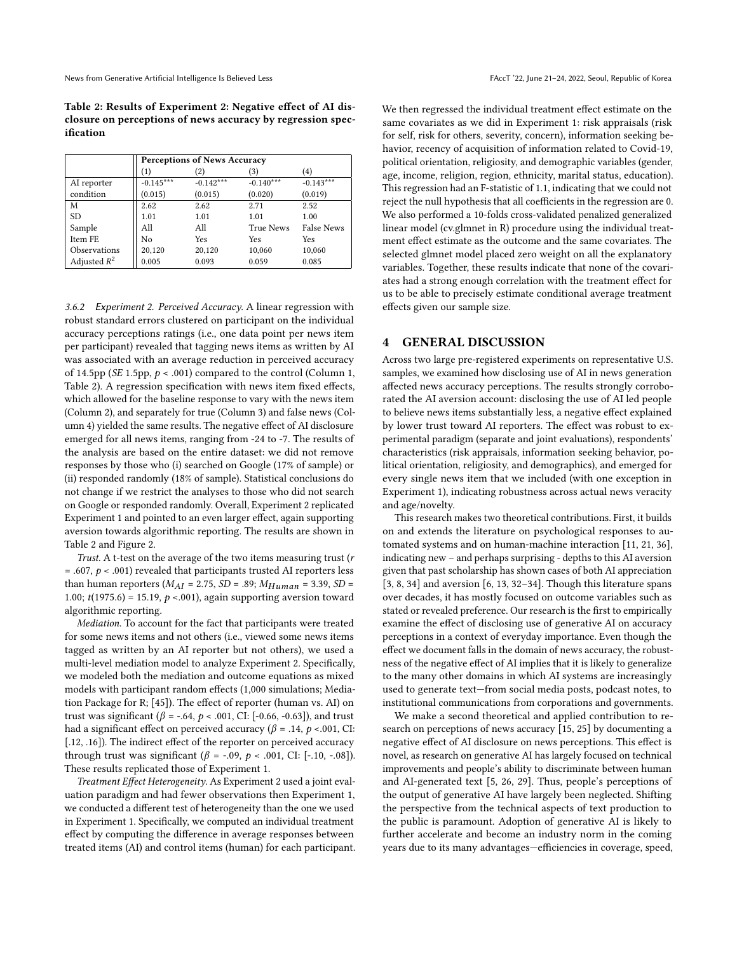<span id="page-4-0"></span>Table 2: Results of Experiment 2: Negative effect of AI disclosure on perceptions of news accuracy by regression specification

| <b>Perceptions of News Accuracy</b> |             |                  |                   |
|-------------------------------------|-------------|------------------|-------------------|
| (1)                                 | (2)         | (3)              | (4)               |
| $-0.145***$                         | $-0.142***$ | $-0.140***$      | $-0.143***$       |
| (0.015)                             | (0.015)     | (0.020)          | (0.019)           |
| 2.62                                | 2.62        | 2.71             | 2.52              |
| 1.01                                | 1.01        | 1.01             | 1.00              |
| All                                 | All         | <b>True News</b> | <b>False News</b> |
| No                                  | Yes         | Yes              | Yes               |
| 20,120                              | 20,120      | 10,060           | 10,060            |
| 0.005                               | 0.093       | 0.059            | 0.085             |
|                                     |             |                  |                   |

3.6.2 Experiment 2. Perceived Accuracy. A linear regression with robust standard errors clustered on participant on the individual accuracy perceptions ratings (i.e., one data point per news item per participant) revealed that tagging news items as written by AI was associated with an average reduction in perceived accuracy of 14.5pp (SE 1.5pp,  $p < .001$ ) compared to the control (Column 1, Table [2\)](#page-4-0). A regression specification with news item fixed effects, which allowed for the baseline response to vary with the news item (Column 2), and separately for true (Column 3) and false news (Column 4) yielded the same results. The negative effect of AI disclosure emerged for all news items, ranging from -24 to -7. The results of the analysis are based on the entire dataset: we did not remove responses by those who (i) searched on Google (17% of sample) or (ii) responded randomly (18% of sample). Statistical conclusions do not change if we restrict the analyses to those who did not search on Google or responded randomly. Overall, Experiment 2 replicated Experiment 1 and pointed to an even larger effect, again supporting aversion towards algorithmic reporting. The results are shown in Table [2](#page-4-0) and Figure [2.](#page-5-0)

Trust. A t-test on the average of the two items measuring trust (r  $= .607, p < .001$ ) revealed that participants trusted AI reporters less than human reporters ( $M_{AI}$  = 2.75, SD = .89;  $M_{Human}$  = 3.39, SD = 1.00;  $t(1975.6) = 15.19, p < .001$ ), again supporting aversion toward algorithmic reporting.

Mediation. To account for the fact that participants were treated for some news items and not others (i.e., viewed some news items tagged as written by an AI reporter but not others), we used a multi-level mediation model to analyze Experiment 2. Specifically, we modeled both the mediation and outcome equations as mixed models with participant random effects (1,000 simulations; Mediation Package for R; [\[45\]](#page-7-3)). The effect of reporter (human vs. AI) on trust was significant ( $β = -.64, p < .001,$  CI: [-0.66, -0.63]), and trust had a significant effect on perceived accuracy ( $\beta$  = .14,  $p$  < .001, CI: [.12, .16]). The indirect effect of the reporter on perceived accuracy through trust was significant (β = -.09, p < .001, CI: [-.10, -.08]). These results replicated those of Experiment 1.

Treatment Effect Heterogeneity. As Experiment 2 used a joint evaluation paradigm and had fewer observations then Experiment 1, we conducted a different test of heterogeneity than the one we used in Experiment 1. Specifically, we computed an individual treatment effect by computing the difference in average responses between treated items (AI) and control items (human) for each participant. We then regressed the individual treatment effect estimate on the same covariates as we did in Experiment 1: risk appraisals (risk for self, risk for others, severity, concern), information seeking behavior, recency of acquisition of information related to Covid-19, political orientation, religiosity, and demographic variables (gender, age, income, religion, region, ethnicity, marital status, education). This regression had an F-statistic of 1.1, indicating that we could not reject the null hypothesis that all coefficients in the regression are 0. We also performed a 10-folds cross-validated penalized generalized linear model (cv.glmnet in R) procedure using the individual treatment effect estimate as the outcome and the same covariates. The selected glmnet model placed zero weight on all the explanatory variables. Together, these results indicate that none of the covariates had a strong enough correlation with the treatment effect for us to be able to precisely estimate conditional average treatment effects given our sample size.

#### 4 GENERAL DISCUSSION

Across two large pre-registered experiments on representative U.S. samples, we examined how disclosing use of AI in news generation affected news accuracy perceptions. The results strongly corroborated the AI aversion account: disclosing the use of AI led people to believe news items substantially less, a negative effect explained by lower trust toward AI reporters. The effect was robust to experimental paradigm (separate and joint evaluations), respondents' characteristics (risk appraisals, information seeking behavior, political orientation, religiosity, and demographics), and emerged for every single news item that we included (with one exception in Experiment 1), indicating robustness across actual news veracity and age/novelty.

This research makes two theoretical contributions. First, it builds on and extends the literature on psychological responses to automated systems and on human-machine interaction [\[11,](#page-6-22) [21,](#page-6-23) [36\]](#page-6-24), indicating new – and perhaps surprising - depths to this AI aversion given that past scholarship has shown cases of both AI appreciation  $[3, 8, 34]$  $[3, 8, 34]$  $[3, 8, 34]$  $[3, 8, 34]$  $[3, 8, 34]$  and aversion  $[6, 13, 32-34]$  $[6, 13, 32-34]$  $[6, 13, 32-34]$  $[6, 13, 32-34]$  $[6, 13, 32-34]$  $[6, 13, 32-34]$ . Though this literature spans over decades, it has mostly focused on outcome variables such as stated or revealed preference. Our research is the first to empirically examine the effect of disclosing use of generative AI on accuracy perceptions in a context of everyday importance. Even though the effect we document falls in the domain of news accuracy, the robustness of the negative effect of AI implies that it is likely to generalize to the many other domains in which AI systems are increasingly used to generate text—from social media posts, podcast notes, to institutional communications from corporations and governments.

We make a second theoretical and applied contribution to research on perceptions of news accuracy [\[15,](#page-6-12) [25\]](#page-6-13) by documenting a negative effect of AI disclosure on news perceptions. This effect is novel, as research on generative AI has largely focused on technical improvements and people's ability to discriminate between human and AI-generated text [\[5,](#page-6-0) [26,](#page-6-1) [29\]](#page-6-2). Thus, people's perceptions of the output of generative AI have largely been neglected. Shifting the perspective from the technical aspects of text production to the public is paramount. Adoption of generative AI is likely to further accelerate and become an industry norm in the coming years due to its many advantages—efficiencies in coverage, speed,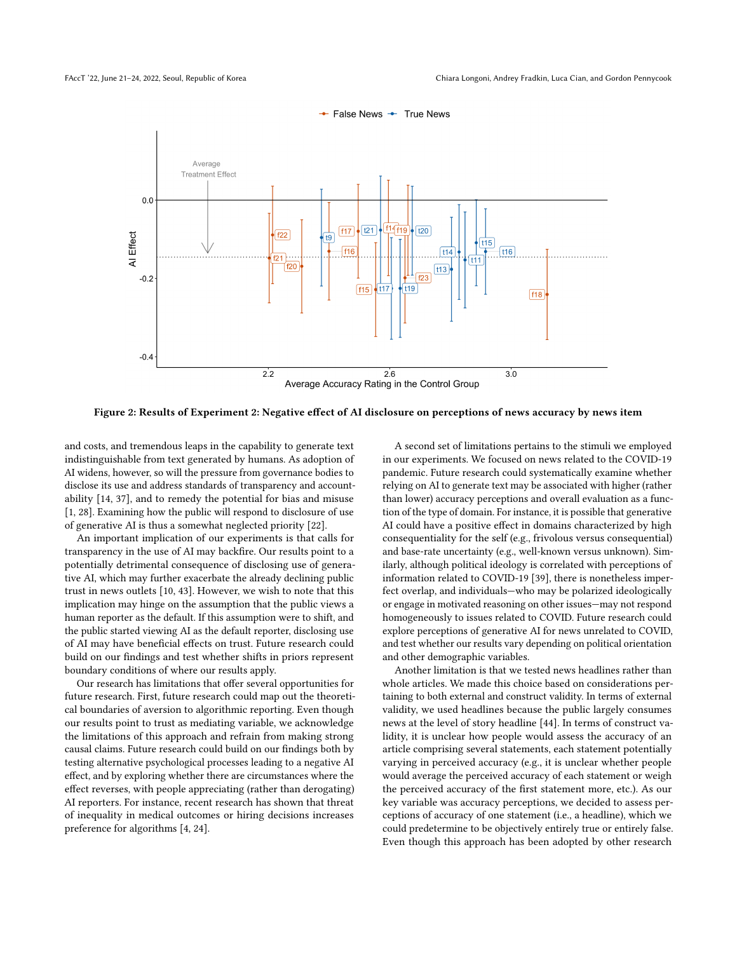<span id="page-5-0"></span>

False News + True News

Figure 2: Results of Experiment 2: Negative effect of AI disclosure on perceptions of news accuracy by news item

and costs, and tremendous leaps in the capability to generate text indistinguishable from text generated by humans. As adoption of AI widens, however, so will the pressure from governance bodies to disclose its use and address standards of transparency and accountability [\[14,](#page-6-3) [37\]](#page-6-7), and to remedy the potential for bias and misuse [\[1,](#page-6-5) [28\]](#page-6-6). Examining how the public will respond to disclosure of use of generative AI is thus a somewhat neglected priority [\[22\]](#page-6-8).

An important implication of our experiments is that calls for transparency in the use of AI may backfire. Our results point to a potentially detrimental consequence of disclosing use of generative AI, which may further exacerbate the already declining public trust in news outlets [\[10,](#page-6-39) [43\]](#page-7-5). However, we wish to note that this implication may hinge on the assumption that the public views a human reporter as the default. If this assumption were to shift, and the public started viewing AI as the default reporter, disclosing use of AI may have beneficial effects on trust. Future research could build on our findings and test whether shifts in priors represent boundary conditions of where our results apply.

Our research has limitations that offer several opportunities for future research. First, future research could map out the theoretical boundaries of aversion to algorithmic reporting. Even though our results point to trust as mediating variable, we acknowledge the limitations of this approach and refrain from making strong causal claims. Future research could build on our findings both by testing alternative psychological processes leading to a negative AI effect, and by exploring whether there are circumstances where the effect reverses, with people appreciating (rather than derogating) AI reporters. For instance, recent research has shown that threat of inequality in medical outcomes or hiring decisions increases preference for algorithms [\[4,](#page-6-29) [24\]](#page-6-21).

A second set of limitations pertains to the stimuli we employed in our experiments. We focused on news related to the COVID-19 pandemic. Future research could systematically examine whether relying on AI to generate text may be associated with higher (rather than lower) accuracy perceptions and overall evaluation as a function of the type of domain. For instance, it is possible that generative AI could have a positive effect in domains characterized by high consequentiality for the self (e.g., frivolous versus consequential) and base-rate uncertainty (e.g., well-known versus unknown). Similarly, although political ideology is correlated with perceptions of information related to COVID-19 [\[39\]](#page-6-40), there is nonetheless imperfect overlap, and individuals—who may be polarized ideologically or engage in motivated reasoning on other issues—may not respond homogeneously to issues related to COVID. Future research could explore perceptions of generative AI for news unrelated to COVID, and test whether our results vary depending on political orientation and other demographic variables.

Another limitation is that we tested news headlines rather than whole articles. We made this choice based on considerations pertaining to both external and construct validity. In terms of external validity, we used headlines because the public largely consumes news at the level of story headline [\[44\]](#page-7-6). In terms of construct validity, it is unclear how people would assess the accuracy of an article comprising several statements, each statement potentially varying in perceived accuracy (e.g., it is unclear whether people would average the perceived accuracy of each statement or weigh the perceived accuracy of the first statement more, etc.). As our key variable was accuracy perceptions, we decided to assess perceptions of accuracy of one statement (i.e., a headline), which we could predetermine to be objectively entirely true or entirely false. Even though this approach has been adopted by other research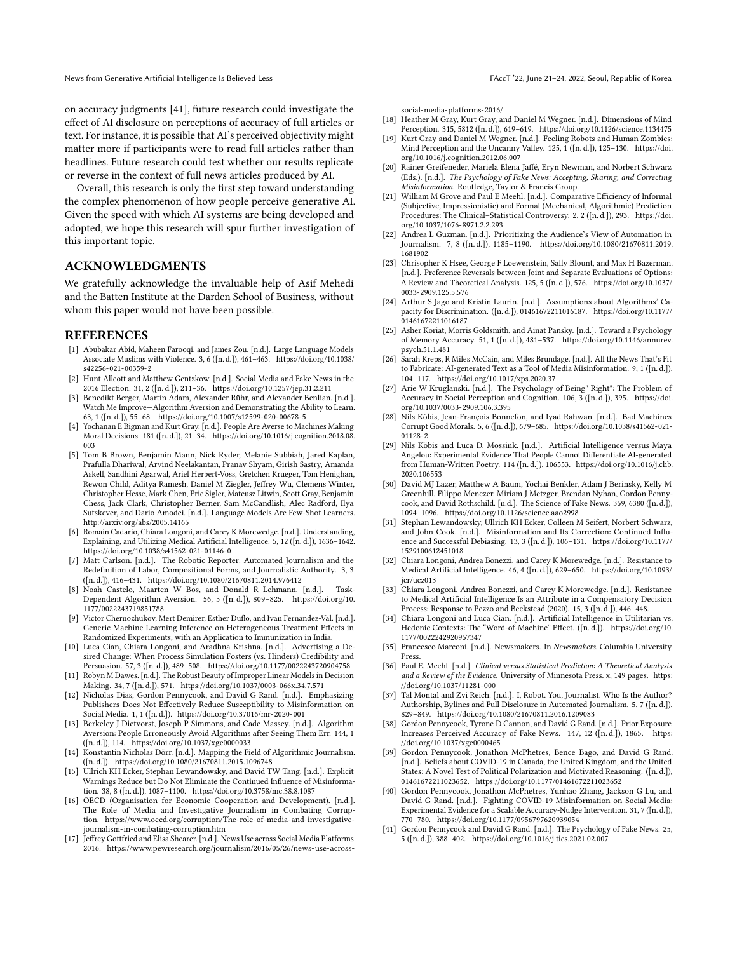on accuracy judgments [\[41\]](#page-6-16), future research could investigate the effect of AI disclosure on perceptions of accuracy of full articles or text. For instance, it is possible that AI's perceived objectivity might matter more if participants were to read full articles rather than headlines. Future research could test whether our results replicate or reverse in the context of full news articles produced by AI.

Overall, this research is only the first step toward understanding the complex phenomenon of how people perceive generative AI. Given the speed with which AI systems are being developed and adopted, we hope this research will spur further investigation of this important topic.

#### ACKNOWLEDGMENTS

We gratefully acknowledge the invaluable help of Asif Mehedi and the Batten Institute at the Darden School of Business, without whom this paper would not have been possible.

#### REFERENCES

- <span id="page-6-5"></span>[1] Abubakar Abid, Maheen Farooqi, and James Zou. [n.d.]. Large Language Models Associate Muslims with Violence. 3, 6 ([n. d.]), 461–463. [https://doi.org/10.1038/](https://doi.org/10.1038/s42256-021-00359-2) [s42256-021-00359-2](https://doi.org/10.1038/s42256-021-00359-2)
- <span id="page-6-36"></span>[2] Hunt Allcott and Matthew Gentzkow. [n.d.]. Social Media and Fake News in the 2016 Election. 31, 2 ([n. d.]), 211–36.<https://doi.org/10.1257/jep.31.2.211>
- <span id="page-6-19"></span>[3] Benedikt Berger, Martin Adam, Alexander Rühr, and Alexander Benlian. [n.d.]. Watch Me Improve—Algorithm Aversion and Demonstrating the Ability to Learn. 63, 1 ([n. d.]), 55–68.<https://doi.org/10.1007/s12599-020-00678-5>
- <span id="page-6-29"></span>[4] Yochanan E Bigman and Kurt Gray. [n.d.]. People Are Averse to Machines Making Moral Decisions. 181 ([n. d.]), 21–34. [https://doi.org/10.1016/j.cognition.2018.08.](https://doi.org/10.1016/j.cognition.2018.08.003) [003](https://doi.org/10.1016/j.cognition.2018.08.003)
- <span id="page-6-0"></span>[5] Tom B Brown, Benjamin Mann, Nick Ryder, Melanie Subbiah, Jared Kaplan, Prafulla Dhariwal, Arvind Neelakantan, Pranav Shyam, Girish Sastry, Amanda Askell, Sandhini Agarwal, Ariel Herbert-Voss, Gretchen Krueger, Tom Henighan, Rewon Child, Aditya Ramesh, Daniel M Ziegler, Jeffrey Wu, Clemens Winter, Christopher Hesse, Mark Chen, Eric Sigler, Mateusz Litwin, Scott Gray, Benjamin Chess, Jack Clark, Christopher Berner, Sam McCandlish, Alec Radford, Ilya Sutskever, and Dario Amodei. [n.d.]. Language Models Are Few-Shot Learners. <http://arxiv.org/abs/2005.14165>
- <span id="page-6-38"></span>[6] Romain Cadario, Chiara Longoni, and Carey K Morewedge. [n.d.]. Understanding, Explaining, and Utilizing Medical Artificial Intelligence. 5, 12 ([n. d.]), 1636–1642. <https://doi.org/10.1038/s41562-021-01146-0>
- <span id="page-6-33"></span>[7] Matt Carlson. [n.d.]. The Robotic Reporter: Automated Journalism and the Redefinition of Labor, Compositional Forms, and Journalistic Authority. 3, 3 ([n. d.]), 416–431.<https://doi.org/10.1080/21670811.2014.976412>
- <span id="page-6-20"></span>[8] Noah Castelo, Maarten W Bos, and Donald R Lehmann. [n.d.]. Task-Dependent Algorithm Aversion. 56, 5 ([n. d.]), 809–825. [https://doi.org/10.](https://doi.org/10.1177/0022243719851788) [1177/0022243719851788](https://doi.org/10.1177/0022243719851788)
- <span id="page-6-37"></span>[9] Victor Chernozhukov, Mert Demirer, Esther Duflo, and Ivan Fernandez-Val. [n.d.]. Generic Machine Learning Inference on Heterogeneous Treatment Effects in Randomized Experiments, with an Application to Immunization in India.
- <span id="page-6-39"></span>[10] Luca Cian, Chiara Longoni, and Aradhna Krishna. [n.d.]. Advertising a Desired Change: When Process Simulation Fosters (vs. Hinders) Credibility and Persuasion. 57, 3 ([n. d.]), 489–508.<https://doi.org/10.1177/0022243720904758>
- <span id="page-6-22"></span>[11] Robyn M Dawes. [n.d.]. The Robust Beauty of Improper Linear Models in Decision Making. 34, 7 ([n. d.]), 571.<https://doi.org/10.1037/0003-066x.34.7.571>
- <span id="page-6-32"></span>[12] Nicholas Dias, Gordon Pennycook, and David G Rand. [n.d.]. Emphasizing Publishers Does Not Effectively Reduce Susceptibility to Misinformation on Social Media. 1, 1 ([n. d.]).<https://doi.org/10.37016/mr-2020-001>
- <span id="page-6-25"></span>[13] Berkeley J Dietvorst, Joseph P Simmons, and Cade Massey. [n.d.]. Algorithm Aversion: People Erroneously Avoid Algorithms after Seeing Them Err. 144, 1 ([n. d.]), 114.<https://doi.org/10.1037/xge0000033>
- <span id="page-6-3"></span>[14] Konstantin Nicholas Dörr. [n.d.]. Mapping the Field of Algorithmic Journalism. ([n. d.]).<https://doi.org/10.1080/21670811.2015.1096748>
- <span id="page-6-12"></span>[15] Ullrich KH Ecker, Stephan Lewandowsky, and David TW Tang. [n.d.]. Explicit Warnings Reduce but Do Not Eliminate the Continued Influence of Misinformation. 38, 8 ([n. d.]), 1087–1100.<https://doi.org/10.3758/mc.38.8.1087>
- <span id="page-6-9"></span>[16] OECD (Organisation for Economic Cooperation and Development). [n.d.]. The Role of Media and Investigative Journalism in Combating Corruption. [https://www.oecd.org/corruption/The-role-of-media-and-investigative](https://www.oecd.org/corruption/The-role-of-media-and-investigative-journalism-in-combating-corruption.htm)[journalism-in-combating-corruption.htm](https://www.oecd.org/corruption/The-role-of-media-and-investigative-journalism-in-combating-corruption.htm)
- <span id="page-6-31"></span>[17] Jeffrey Gottfried and Elisa Shearer. [n.d.]. News Use across Social Media Platforms 2016. [https://www.pewresearch.org/journalism/2016/05/26/news-use-across-](https://www.pewresearch.org/journalism/2016/05/26/news-use-across-social-media-platforms-2016/)

[social-media-platforms-2016/](https://www.pewresearch.org/journalism/2016/05/26/news-use-across-social-media-platforms-2016/)

- <span id="page-6-17"></span>[18] Heather M Gray, Kurt Gray, and Daniel M Wegner. [n.d.]. Dimensions of Mind Perception. 315, 5812 ([n. d.]), 619–619.<https://doi.org/10.1126/science.1134475>
- <span id="page-6-18"></span>[19] Kurt Gray and Daniel M Wegner. [n.d.]. Feeling Robots and Human Zombies: Mind Perception and the Uncanny Valley. 125, 1 ([n. d.]), 125–130. [https://doi.](https://doi.org/10.1016/j.cognition.2012.06.007) [org/10.1016/j.cognition.2012.06.007](https://doi.org/10.1016/j.cognition.2012.06.007)
- <span id="page-6-10"></span>[20] Rainer Greifeneder, Mariela Elena Jaffé, Eryn Newman, and Norbert Schwarz (Eds.). [n.d.]. The Psychology of Fake News: Accepting, Sharing, and Correcting Misinformation. Routledge, Taylor & Francis Group.
- <span id="page-6-23"></span>[21] William M Grove and Paul E Meehl. [n.d.]. Comparative Efficiency of Informal (Subjective, Impressionistic) and Formal (Mechanical, Algorithmic) Prediction Procedures: The Clinical–Statistical Controversy. 2, 2 ([n. d.]), 293. [https://doi.](https://doi.org/10.1037/1076-8971.2.2.293) [org/10.1037/1076-8971.2.2.293](https://doi.org/10.1037/1076-8971.2.2.293)
- <span id="page-6-8"></span>[22] Andrea L Guzman. [n.d.]. Prioritizing the Audience's View of Automation in Journalism. 7, 8 ([n. d.]), 1185–1190. [https://doi.org/10.1080/21670811.2019.](https://doi.org/10.1080/21670811.2019.1681902) [1681902](https://doi.org/10.1080/21670811.2019.1681902)
- <span id="page-6-30"></span>[23] Chrisopher K Hsee, George F Loewenstein, Sally Blount, and Max H Bazerman. [n.d.]. Preference Reversals between Joint and Separate Evaluations of Options: A Review and Theoretical Analysis. 125, 5 ([n. d.]), 576. [https://doi.org/10.1037/](https://doi.org/10.1037/0033-2909.125.5.576) [0033-2909.125.5.576](https://doi.org/10.1037/0033-2909.125.5.576)
- <span id="page-6-21"></span>[24] Arthur S Jago and Kristin Laurin. [n.d.]. Assumptions about Algorithms' Capacity for Discrimination. ([n. d.]), 01461672211016187. [https://doi.org/10.1177/](https://doi.org/10.1177/01461672211016187) [01461672211016187](https://doi.org/10.1177/01461672211016187)
- <span id="page-6-13"></span>[25] Asher Koriat, Morris Goldsmith, and Ainat Pansky. [n.d.]. Toward a Psychology of Memory Accuracy. 51, 1 ([n. d.]), 481–537. [https://doi.org/10.1146/annurev.](https://doi.org/10.1146/annurev.psych.51.1.481) [psych.51.1.481](https://doi.org/10.1146/annurev.psych.51.1.481)
- <span id="page-6-1"></span>[26] Sarah Kreps, R Miles McCain, and Miles Brundage. [n.d.]. All the News That's Fit to Fabricate: AI-generated Text as a Tool of Media Misinformation. 9, 1 ([n. d.]), 104–117.<https://doi.org/10.1017/xps.2020.37>
- <span id="page-6-14"></span>[27] Arie W Kruglanski. [n.d.]. The Psychology of Being" Right": The Problem of Accuracy in Social Perception and Cognition. 106, 3 ([n. d.]), 395. [https://doi.](https://doi.org/10.1037/0033-2909.106.3.395) [org/10.1037/0033-2909.106.3.395](https://doi.org/10.1037/0033-2909.106.3.395)
- <span id="page-6-6"></span>[28] Nils Köbis, Jean-François Bonnefon, and Iyad Rahwan. [n.d.]. Bad Machines Corrupt Good Morals. 5, 6 ([n. d.]), 679–685. [https://doi.org/10.1038/s41562-021-](https://doi.org/10.1038/s41562-021-01128-2) [01128-2](https://doi.org/10.1038/s41562-021-01128-2)
- <span id="page-6-2"></span>[29] Nils Köbis and Luca D. Mossink. [n.d.]. Artificial Intelligence versus Maya Angelou: Experimental Evidence That People Cannot Differentiate AI-generated from Human-Written Poetry. 114 ([n. d.]), 106553. [https://doi.org/10.1016/j.chb.](https://doi.org/10.1016/j.chb.2020.106553) [2020.106553](https://doi.org/10.1016/j.chb.2020.106553)
- <span id="page-6-11"></span>[30] David MJ Lazer, Matthew A Baum, Yochai Benkler, Adam J Berinsky, Kelly M Greenhill, Filippo Menczer, Miriam J Metzger, Brendan Nyhan, Gordon Pennycook, and David Rothschild. [n.d.]. The Science of Fake News. 359, 6380 ([n. d.]), 1094–1096.<https://doi.org/10.1126/science.aao2998>
- <span id="page-6-15"></span>[31] Stephan Lewandowsky, Ullrich KH Ecker, Colleen M Seifert, Norbert Schwarz, and John Cook. [n.d.]. Misinformation and Its Correction: Continued Influence and Successful Debiasing. 13, 3 ([n. d.]), 106–131. [https://doi.org/10.1177/](https://doi.org/10.1177/1529100612451018) [1529100612451018](https://doi.org/10.1177/1529100612451018)
- <span id="page-6-26"></span>[32] Chiara Longoni, Andrea Bonezzi, and Carey K Morewedge. [n.d.]. Resistance to Medical Artificial Intelligence. 46, 4 ([n. d.]), 629–650. [https://doi.org/10.1093/](https://doi.org/10.1093/jcr/ucz013) [jcr/ucz013](https://doi.org/10.1093/jcr/ucz013)
- <span id="page-6-27"></span>[33] Chiara Longoni, Andrea Bonezzi, and Carey K Morewedge. [n.d.]. Resistance to Medical Artificial Intelligence Is an Attribute in a Compensatory Decision Process: Response to Pezzo and Beckstead (2020). 15, 3 ([n. d.]), 446–448.
- <span id="page-6-28"></span>[34] Chiara Longoni and Luca Cian. [n.d.]. Artificial Intelligence in Utilitarian vs. Hedonic Contexts: The "Word-of-Machine" Effect. ([n. d.]). [https://doi.org/10.](https://doi.org/10.1177/0022242920957347) [1177/0022242920957347](https://doi.org/10.1177/0022242920957347)
- <span id="page-6-4"></span>[35] Francesco Marconi. [n.d.]. Newsmakers. In Newsmakers. Columbia University Press.
- <span id="page-6-24"></span>[36] Paul E. Meehl. [n.d.]. Clinical versus Statistical Prediction: A Theoretical Analysis and a Review of the Evidence. University of Minnesota Press. x, 149 pages. [https:](https://doi.org/10.1037/11281-000) [//doi.org/10.1037/11281-000](https://doi.org/10.1037/11281-000)
- <span id="page-6-7"></span>[37] Tal Montal and Zvi Reich. [n.d.]. I, Robot. You, Journalist. Who Is the Author? Authorship, Bylines and Full Disclosure in Automated Journalism. 5, 7 ([n. d.]), 829–849.<https://doi.org/10.1080/21670811.2016.1209083>
- <span id="page-6-34"></span>[38] Gordon Pennycook, Tyrone D Cannon, and David G Rand. [n.d.]. Prior Exposure Increases Perceived Accuracy of Fake News. 147, 12 ([n. d.]), 1865. [https:](https://doi.org/10.1037/xge0000465) [//doi.org/10.1037/xge0000465](https://doi.org/10.1037/xge0000465)
- <span id="page-6-40"></span>[39] Gordon Pennycook, Jonathon McPhetres, Bence Bago, and David G Rand. [n.d.]. Beliefs about COVID-19 in Canada, the United Kingdom, and the United States: A Novel Test of Political Polarization and Motivated Reasoning. ([n. d.]), 01461672211023652.<https://doi.org/10.1177/01461672211023652>
- <span id="page-6-35"></span>[40] Gordon Pennycook, Jonathon McPhetres, Yunhao Zhang, Jackson G Lu, and David G Rand. [n.d.]. Fighting COVID-19 Misinformation on Social Media: Experimental Evidence for a Scalable Accuracy-Nudge Intervention. 31, 7 ([n. d.]), 770–780.<https://doi.org/10.1177/0956797620939054>
- <span id="page-6-16"></span>[41] Gordon Pennycook and David G Rand. [n.d.]. The Psychology of Fake News. 25, 5 ([n. d.]), 388–402.<https://doi.org/10.1016/j.tics.2021.02.007>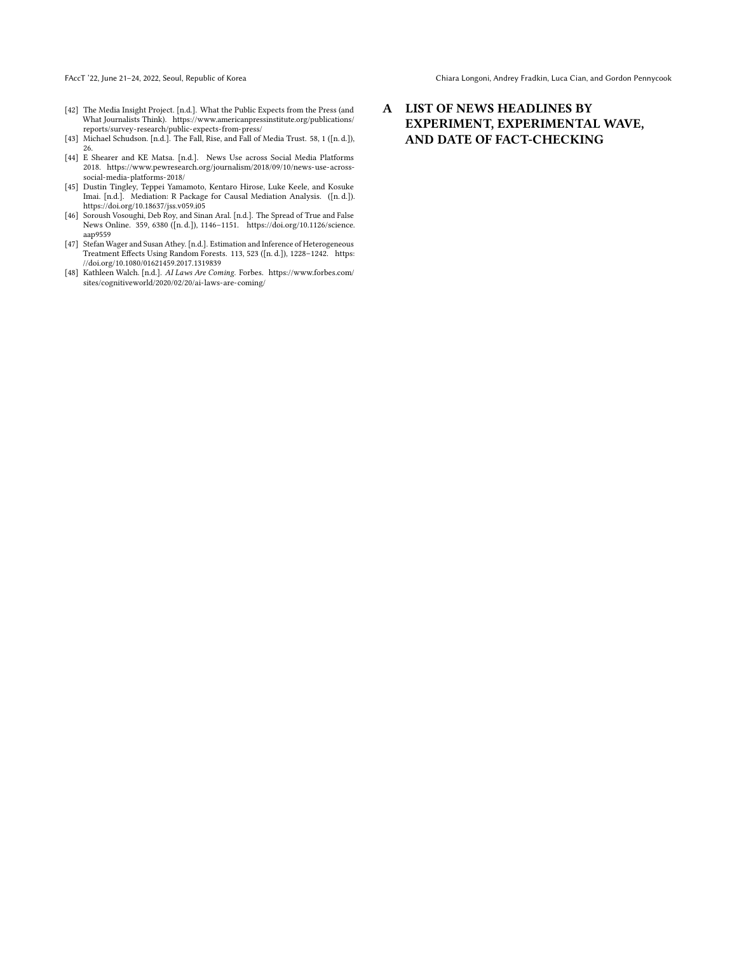FAccT '22, June 21-24, 2022, Seoul, Republic of Korea Chiara Corea Chiara Longoni, Andrey Fradkin, Luca Cian, and Gordon Pennycook

- <span id="page-7-1"></span>[42] The Media Insight Project. [n.d.]. What the Public Expects from the Press (and What Journalists Think). [https://www.americanpressinstitute.org/publications/](https://www.americanpressinstitute.org/publications/reports/survey-research/public-expects-from-press/) [reports/survey-research/public-expects-from-press/](https://www.americanpressinstitute.org/publications/reports/survey-research/public-expects-from-press/)
- <span id="page-7-5"></span>[43] Michael Schudson. [n.d.]. The Fall, Rise, and Fall of Media Trust. 58, 1 ([n. d.]), 26.
- <span id="page-7-6"></span>[44] E Shearer and KE Matsa. [n.d.]. News Use across Social Media Platforms 2018. [https://www.pewresearch.org/journalism/2018/09/10/news-use-across](https://www.pewresearch.org/journalism/2018/09/10/news-use-across-social-media-platforms-2018/)[social-media-platforms-2018/](https://www.pewresearch.org/journalism/2018/09/10/news-use-across-social-media-platforms-2018/)
- <span id="page-7-3"></span>[45] Dustin Tingley, Teppei Yamamoto, Kentaro Hirose, Luke Keele, and Kosuke Imai. [n.d.]. Mediation: R Package for Causal Mediation Analysis. ([n. d.]). <https://doi.org/10.18637/jss.v059.i05>
- <span id="page-7-2"></span>[46] Soroush Vosoughi, Deb Roy, and Sinan Aral. [n.d.]. The Spread of True and False News Online. 359, 6380 ([n. d.]), 1146–1151. [https://doi.org/10.1126/science.](https://doi.org/10.1126/science.aap9559) [aap9559](https://doi.org/10.1126/science.aap9559)
- <span id="page-7-4"></span>[47] Stefan Wager and Susan Athey. [n.d.]. Estimation and Inference of Heterogeneous Treatment Effects Using Random Forests. 113, 523 ([n. d.]), 1228–1242. [https:](https://doi.org/10.1080/01621459.2017.1319839) [//doi.org/10.1080/01621459.2017.1319839](https://doi.org/10.1080/01621459.2017.1319839)
- <span id="page-7-0"></span>[48] Kathleen Walch. [n.d.]. AI Laws Are Coming. Forbes. [https://www.forbes.com/](https://www.forbes.com/sites/cognitiveworld/2020/02/20/ai-laws-are-coming/) [sites/cognitiveworld/2020/02/20/ai-laws-are-coming/](https://www.forbes.com/sites/cognitiveworld/2020/02/20/ai-laws-are-coming/)

# A LIST OF NEWS HEADLINES BY EXPERIMENT, EXPERIMENTAL WAVE, AND DATE OF FACT-CHECKING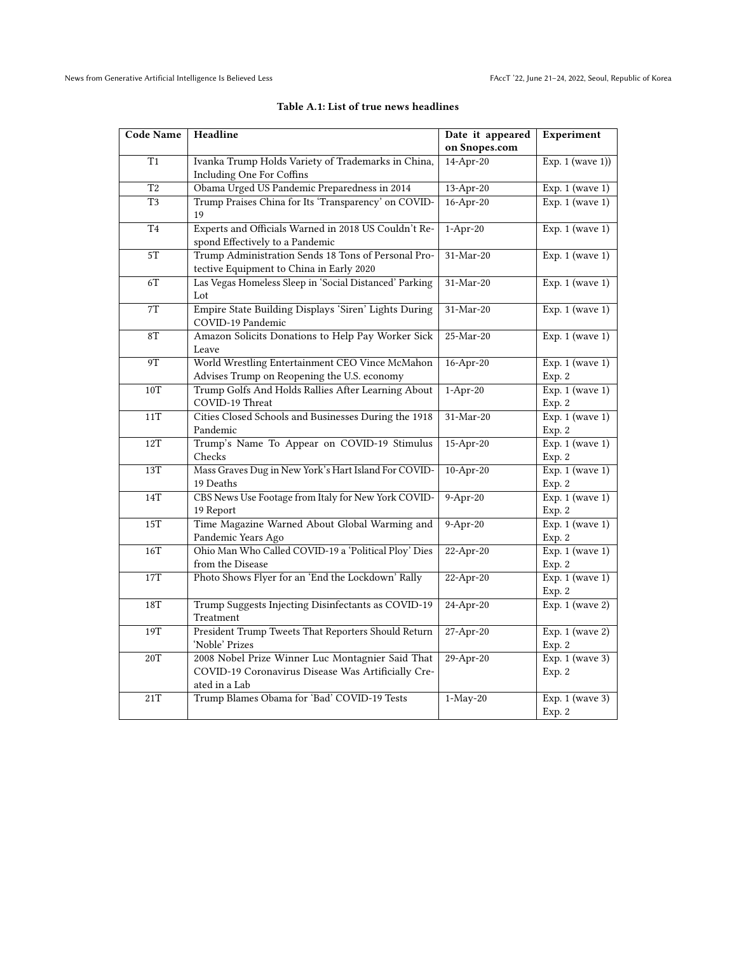<span id="page-8-0"></span>

| <b>Code Name</b> | Headline                                                                                | Date it appeared | Experiment                     |
|------------------|-----------------------------------------------------------------------------------------|------------------|--------------------------------|
|                  |                                                                                         | on Snopes.com    |                                |
| $\overline{T1}$  | Ivanka Trump Holds Variety of Trademarks in China,                                      | 14-Apr-20        | Exp. $1$ (wave 1))             |
|                  | Including One For Coffins                                                               |                  |                                |
| $\overline{T2}$  | Obama Urged US Pandemic Preparedness in 2014                                            | 13-Apr-20        | Exp. $1$ (wave $1$ )           |
| T <sub>3</sub>   | Trump Praises China for Its 'Transparency' on COVID-                                    | $16$ -Apr-20     | Exp. $1$ (wave $1$ )           |
|                  | 19                                                                                      |                  |                                |
| $\overline{T4}$  | Experts and Officials Warned in 2018 US Couldn't Re-<br>spond Effectively to a Pandemic | $1-Apr-20$       | Exp. $1$ (wave $1$ )           |
| $5\mathrm{T}$    | Trump Administration Sends 18 Tons of Personal Pro-                                     | 31-Mar-20        | Exp. $1$ (wave $1$ )           |
|                  | tective Equipment to China in Early 2020                                                |                  |                                |
| 6T               | Las Vegas Homeless Sleep in 'Social Distanced' Parking                                  | $31-Mar-20$      | Exp. $1$ (wave $1$ )           |
|                  | Lot                                                                                     |                  |                                |
| $7\mathrm{T}$    | Empire State Building Displays 'Siren' Lights During                                    | $31-Mar-20$      | Exp. $1$ (wave $1$ )           |
|                  | COVID-19 Pandemic                                                                       |                  |                                |
| 8T               | Amazon Solicits Donations to Help Pay Worker Sick                                       | 25-Mar-20        | Exp. $1$ (wave 1)              |
|                  | Leave                                                                                   |                  |                                |
| 9T               | World Wrestling Entertainment CEO Vince McMahon                                         | $16$ -Apr-20     | Exp. $1$ (wave $1$ )           |
|                  | Advises Trump on Reopening the U.S. economy                                             |                  | Exp. 2                         |
| 10T              | Trump Golfs And Holds Rallies After Learning About                                      | $1-Apr-20$       | Exp. $1$ (wave $1$ )           |
|                  | COVID-19 Threat                                                                         |                  | Exp. 2                         |
| 11T              | Cities Closed Schools and Businesses During the 1918                                    | 31-Mar-20        | Exp. $1$ (wave $1$ )           |
| 12T              | Pandemic<br>Trump's Name To Appear on COVID-19 Stimulus                                 | 15-Apr-20        | Exp. 2<br>Exp. $1$ (wave $1$ ) |
|                  | Checks                                                                                  |                  | Exp. 2                         |
| 13T              | Mass Graves Dug in New York's Hart Island For COVID-                                    | $10-Apr-20$      | Exp. $1$ (wave $1$ )           |
|                  | 19 Deaths                                                                               |                  | Exp. 2                         |
| 14T              | CBS News Use Footage from Italy for New York COVID-                                     | $9-Apr-20$       | Exp. $1$ (wave $1$ )           |
|                  | 19 Report                                                                               |                  | Exp. 2                         |
| 15T              | Time Magazine Warned About Global Warming and                                           | $9-Apr-20$       | Exp. $1$ (wave $1$ )           |
|                  | Pandemic Years Ago                                                                      |                  | Exp. 2                         |
| 16T              | Ohio Man Who Called COVID-19 a 'Political Ploy' Dies                                    | $22-Apr-20$      | Exp. $1$ (wave $1$ )           |
|                  | from the Disease                                                                        |                  | Exp. 2                         |
| 17T              | Photo Shows Flyer for an 'End the Lockdown' Rally                                       | $22-Apr-20$      | Exp. $1$ (wave $1$ )           |
|                  |                                                                                         |                  | Exp. 2                         |
| 18T              | Trump Suggests Injecting Disinfectants as COVID-19                                      | 24-Apr-20        | Exp. $1$ (wave 2)              |
|                  | Treatment                                                                               |                  |                                |
| 19T              | President Trump Tweets That Reporters Should Return                                     | $27 - Apr - 20$  | Exp. $1$ (wave $2$ )           |
|                  | 'Noble' Prizes                                                                          |                  | Exp. 2                         |
| 20T              | 2008 Nobel Prize Winner Luc Montagnier Said That                                        | $29-Apr-20$      | Exp. $1$ (wave 3)              |
|                  | COVID-19 Coronavirus Disease Was Artificially Cre-<br>ated in a Lab                     |                  | Exp. 2                         |
| 21T              | Trump Blames Obama for 'Bad' COVID-19 Tests                                             | $1-May-20$       | Exp. 1 (wave 3)                |
|                  |                                                                                         |                  | Exp. 2                         |
|                  |                                                                                         |                  |                                |

## Table A.1: List of true news headlines